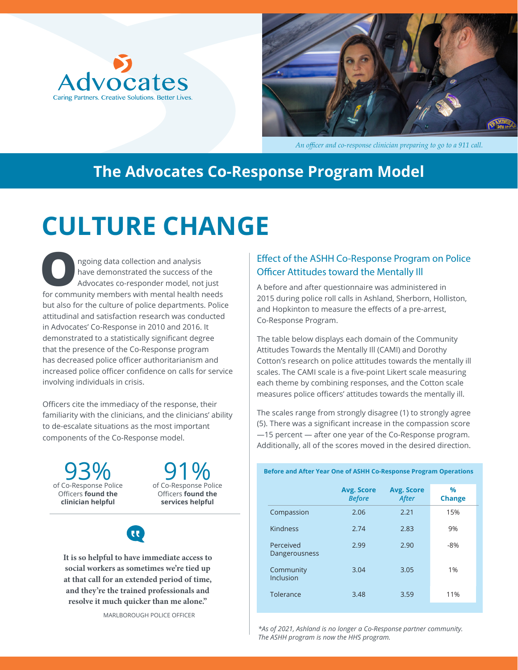



*An officer and co-response clinician preparing to go to a 911 call.*

### **The Advocates Co-Response Program Model**

## **CULTURE CHANGE**

**O**ngoing data collection and analysis have demonstrated the success of the Advocates co-responder model, not just for community members with mental health needs but also for the culture of police departments. Police attitudinal and satisfaction research was conducted in Advocates' Co-Response in 2010 and 2016. It demonstrated to a statistically significant degree that the presence of the Co-Response program has decreased police officer authoritarianism and increased police officer confidence on calls for service involving individuals in crisis.

Officers cite the immediacy of the response, their familiarity with the clinicians, and the clinicians' ability to de-escalate situations as the most important components of the Co-Response model.

**93%**<br>of Co-Response Police Officers **found the clinician helpful**



**It is so helpful to have immediate access to social workers as sometimes we're tied up at that call for an extended period of time, and they're the trained professionals and resolve it much quicker than me alone."**

#### Effect of the ASHH Co-Response Program on Police Officer Attitudes toward the Mentally Ill

A before and after questionnaire was administered in 2015 during police roll calls in Ashland, Sherborn, Holliston, and Hopkinton to measure the effects of a pre-arrest, Co-Response Program.

The table below displays each domain of the Community Attitudes Towards the Mentally Ill (CAMI) and Dorothy Cotton's research on police attitudes towards the mentally ill scales. The CAMI scale is a five-point Likert scale measuring each theme by combining responses, and the Cotton scale measures police officers' attitudes towards the mentally ill.

The scales range from strongly disagree (1) to strongly agree (5). There was a significant increase in the compassion score —15 percent — after one year of the Co-Response program. Additionally, all of the scores moved in the desired direction.

**Before and After Year One of ASHH Co-Response Program Operations**

|                            | <b>Avg. Score</b><br><b>Before</b> | <b>Avg. Score</b><br>After | $\frac{0}{0}$<br><b>Change</b> |
|----------------------------|------------------------------------|----------------------------|--------------------------------|
| Compassion                 | 2.06                               | 2.21                       | 15%                            |
| <b>Kindness</b>            | 2.74                               | 2.83                       | 9%                             |
| Perceived<br>Dangerousness | 2.99                               | 2.90                       | $-8%$                          |
| Community<br>Inclusion     | 3.04                               | 3.05                       | 1%                             |
| Tolerance                  | 3.48                               | 3.59                       | 11%                            |

*\*As of 2021, Ashland is no longer a Co-Response partner community. The ASHH program is now the HHS program.*